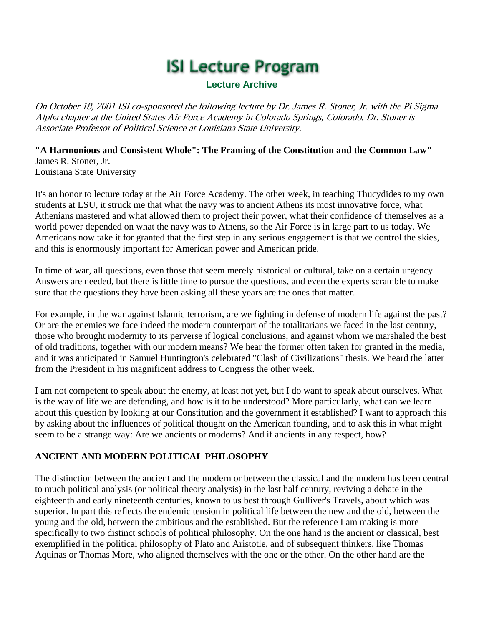# **ISI Lecture Program**

#### **Lecture Archive**

On October 18, 2001 ISI co-sponsored the following lecture by Dr. James R. Stoner, Jr. with the Pi Sigma Alpha chapter at the United States Air Force Academy in Colorado Springs, Colorado. Dr. Stoner is Associate Professor of Political Science at Louisiana State University.

**"A Harmonious and Consistent Whole": The Framing of the Constitution and the Common Law"** James R. Stoner, Jr. Louisiana State University

It's an honor to lecture today at the Air Force Academy. The other week, in teaching Thucydides to my own students at LSU, it struck me that what the navy was to ancient Athens its most innovative force, what Athenians mastered and what allowed them to project their power, what their confidence of themselves as a world power depended on what the navy was to Athens, so the Air Force is in large part to us today. We Americans now take it for granted that the first step in any serious engagement is that we control the skies, and this is enormously important for American power and American pride.

In time of war, all questions, even those that seem merely historical or cultural, take on a certain urgency. Answers are needed, but there is little time to pursue the questions, and even the experts scramble to make sure that the questions they have been asking all these years are the ones that matter.

For example, in the war against Islamic terrorism, are we fighting in defense of modern life against the past? Or are the enemies we face indeed the modern counterpart of the totalitarians we faced in the last century, those who brought modernity to its perverse if logical conclusions, and against whom we marshaled the best of old traditions, together with our modern means? We hear the former often taken for granted in the media, and it was anticipated in Samuel Huntington's celebrated "Clash of Civilizations" thesis. We heard the latter from the President in his magnificent address to Congress the other week.

I am not competent to speak about the enemy, at least not yet, but I do want to speak about ourselves. What is the way of life we are defending, and how is it to be understood? More particularly, what can we learn about this question by looking at our Constitution and the government it established? I want to approach this by asking about the influences of political thought on the American founding, and to ask this in what might seem to be a strange way: Are we ancients or moderns? And if ancients in any respect, how?

## **ANCIENT AND MODERN POLITICAL PHILOSOPHY**

The distinction between the ancient and the modern or between the classical and the modern has been central to much political analysis (or political theory analysis) in the last half century, reviving a debate in the eighteenth and early nineteenth centuries, known to us best through Gulliver's Travels, about which was superior. In part this reflects the endemic tension in political life between the new and the old, between the young and the old, between the ambitious and the established. But the reference I am making is more specifically to two distinct schools of political philosophy. On the one hand is the ancient or classical, best exemplified in the political philosophy of Plato and Aristotle, and of subsequent thinkers, like Thomas Aquinas or Thomas More, who aligned themselves with the one or the other. On the other hand are the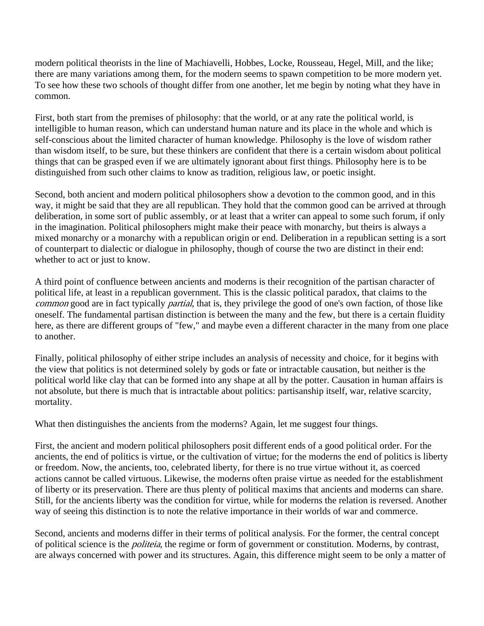modern political theorists in the line of Machiavelli, Hobbes, Locke, Rousseau, Hegel, Mill, and the like; there are many variations among them, for the modern seems to spawn competition to be more modern yet. To see how these two schools of thought differ from one another, let me begin by noting what they have in common.

First, both start from the premises of philosophy: that the world, or at any rate the political world, is intelligible to human reason, which can understand human nature and its place in the whole and which is self-conscious about the limited character of human knowledge. Philosophy is the love of wisdom rather than wisdom itself, to be sure, but these thinkers are confident that there is a certain wisdom about political things that can be grasped even if we are ultimately ignorant about first things. Philosophy here is to be distinguished from such other claims to know as tradition, religious law, or poetic insight.

Second, both ancient and modern political philosophers show a devotion to the common good, and in this way, it might be said that they are all republican. They hold that the common good can be arrived at through deliberation, in some sort of public assembly, or at least that a writer can appeal to some such forum, if only in the imagination. Political philosophers might make their peace with monarchy, but theirs is always a mixed monarchy or a monarchy with a republican origin or end. Deliberation in a republican setting is a sort of counterpart to dialectic or dialogue in philosophy, though of course the two are distinct in their end: whether to act or just to know.

A third point of confluence between ancients and moderns is their recognition of the partisan character of political life, at least in a republican government. This is the classic political paradox, that claims to the common good are in fact typically partial, that is, they privilege the good of one's own faction, of those like oneself. The fundamental partisan distinction is between the many and the few, but there is a certain fluidity here, as there are different groups of "few," and maybe even a different character in the many from one place to another.

Finally, political philosophy of either stripe includes an analysis of necessity and choice, for it begins with the view that politics is not determined solely by gods or fate or intractable causation, but neither is the political world like clay that can be formed into any shape at all by the potter. Causation in human affairs is not absolute, but there is much that is intractable about politics: partisanship itself, war, relative scarcity, mortality.

What then distinguishes the ancients from the moderns? Again, let me suggest four things.

First, the ancient and modern political philosophers posit different ends of a good political order. For the ancients, the end of politics is virtue, or the cultivation of virtue; for the moderns the end of politics is liberty or freedom. Now, the ancients, too, celebrated liberty, for there is no true virtue without it, as coerced actions cannot be called virtuous. Likewise, the moderns often praise virtue as needed for the establishment of liberty or its preservation. There are thus plenty of political maxims that ancients and moderns can share. Still, for the ancients liberty was the condition for virtue, while for moderns the relation is reversed. Another way of seeing this distinction is to note the relative importance in their worlds of war and commerce.

Second, ancients and moderns differ in their terms of political analysis. For the former, the central concept of political science is the politeia, the regime or form of government or constitution. Moderns, by contrast, are always concerned with power and its structures. Again, this difference might seem to be only a matter of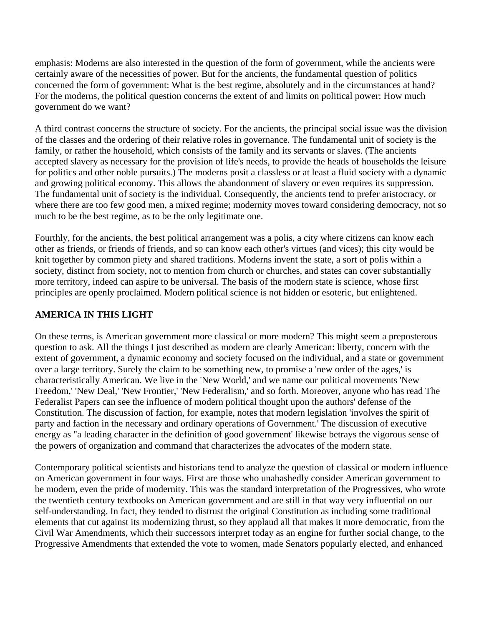emphasis: Moderns are also interested in the question of the form of government, while the ancients were certainly aware of the necessities of power. But for the ancients, the fundamental question of politics concerned the form of government: What is the best regime, absolutely and in the circumstances at hand? For the moderns, the political question concerns the extent of and limits on political power: How much government do we want?

A third contrast concerns the structure of society. For the ancients, the principal social issue was the division of the classes and the ordering of their relative roles in governance. The fundamental unit of society is the family, or rather the household, which consists of the family and its servants or slaves. (The ancients accepted slavery as necessary for the provision of life's needs, to provide the heads of households the leisure for politics and other noble pursuits.) The moderns posit a classless or at least a fluid society with a dynamic and growing political economy. This allows the abandonment of slavery or even requires its suppression. The fundamental unit of society is the individual. Consequently, the ancients tend to prefer aristocracy, or where there are too few good men, a mixed regime; modernity moves toward considering democracy, not so much to be the best regime, as to be the only legitimate one.

Fourthly, for the ancients, the best political arrangement was a polis, a city where citizens can know each other as friends, or friends of friends, and so can know each other's virtues (and vices); this city would be knit together by common piety and shared traditions. Moderns invent the state, a sort of polis within a society, distinct from society, not to mention from church or churches, and states can cover substantially more territory, indeed can aspire to be universal. The basis of the modern state is science, whose first principles are openly proclaimed. Modern political science is not hidden or esoteric, but enlightened.

## **AMERICA IN THIS LIGHT**

On these terms, is American government more classical or more modern? This might seem a preposterous question to ask. All the things I just described as modern are clearly American: liberty, concern with the extent of government, a dynamic economy and society focused on the individual, and a state or government over a large territory. Surely the claim to be something new, to promise a 'new order of the ages,' is characteristically American. We live in the 'New World,' and we name our political movements 'New Freedom,' 'New Deal,' 'New Frontier,' 'New Federalism,' and so forth. Moreover, anyone who has read The Federalist Papers can see the influence of modern political thought upon the authors' defense of the Constitution. The discussion of faction, for example, notes that modern legislation 'involves the spirit of party and faction in the necessary and ordinary operations of Government.' The discussion of executive energy as "a leading character in the definition of good government' likewise betrays the vigorous sense of the powers of organization and command that characterizes the advocates of the modern state.

Contemporary political scientists and historians tend to analyze the question of classical or modern influence on American government in four ways. First are those who unabashedly consider American government to be modern, even the pride of modernity. This was the standard interpretation of the Progressives, who wrote the twentieth century textbooks on American government and are still in that way very influential on our self-understanding. In fact, they tended to distrust the original Constitution as including some traditional elements that cut against its modernizing thrust, so they applaud all that makes it more democratic, from the Civil War Amendments, which their successors interpret today as an engine for further social change, to the Progressive Amendments that extended the vote to women, made Senators popularly elected, and enhanced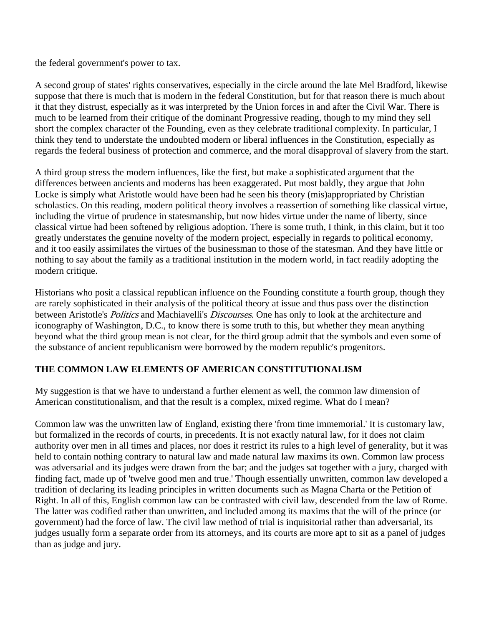the federal government's power to tax.

A second group of states' rights conservatives, especially in the circle around the late Mel Bradford, likewise suppose that there is much that is modern in the federal Constitution, but for that reason there is much about it that they distrust, especially as it was interpreted by the Union forces in and after the Civil War. There is much to be learned from their critique of the dominant Progressive reading, though to my mind they sell short the complex character of the Founding, even as they celebrate traditional complexity. In particular, I think they tend to understate the undoubted modern or liberal influences in the Constitution, especially as regards the federal business of protection and commerce, and the moral disapproval of slavery from the start.

A third group stress the modern influences, like the first, but make a sophisticated argument that the differences between ancients and moderns has been exaggerated. Put most baldly, they argue that John Locke is simply what Aristotle would have been had he seen his theory (mis)appropriated by Christian scholastics. On this reading, modern political theory involves a reassertion of something like classical virtue, including the virtue of prudence in statesmanship, but now hides virtue under the name of liberty, since classical virtue had been softened by religious adoption. There is some truth, I think, in this claim, but it too greatly understates the genuine novelty of the modern project, especially in regards to political economy, and it too easily assimilates the virtues of the businessman to those of the statesman. And they have little or nothing to say about the family as a traditional institution in the modern world, in fact readily adopting the modern critique.

Historians who posit a classical republican influence on the Founding constitute a fourth group, though they are rarely sophisticated in their analysis of the political theory at issue and thus pass over the distinction between Aristotle's *Politics* and Machiavelli's *Discourses*. One has only to look at the architecture and iconography of Washington, D.C., to know there is some truth to this, but whether they mean anything beyond what the third group mean is not clear, for the third group admit that the symbols and even some of the substance of ancient republicanism were borrowed by the modern republic's progenitors.

#### **THE COMMON LAW ELEMENTS OF AMERICAN CONSTITUTIONALISM**

My suggestion is that we have to understand a further element as well, the common law dimension of American constitutionalism, and that the result is a complex, mixed regime. What do I mean?

Common law was the unwritten law of England, existing there 'from time immemorial.' It is customary law, but formalized in the records of courts, in precedents. It is not exactly natural law, for it does not claim authority over men in all times and places, nor does it restrict its rules to a high level of generality, but it was held to contain nothing contrary to natural law and made natural law maxims its own. Common law process was adversarial and its judges were drawn from the bar; and the judges sat together with a jury, charged with finding fact, made up of 'twelve good men and true.' Though essentially unwritten, common law developed a tradition of declaring its leading principles in written documents such as Magna Charta or the Petition of Right. In all of this, English common law can be contrasted with civil law, descended from the law of Rome. The latter was codified rather than unwritten, and included among its maxims that the will of the prince (or government) had the force of law. The civil law method of trial is inquisitorial rather than adversarial, its judges usually form a separate order from its attorneys, and its courts are more apt to sit as a panel of judges than as judge and jury.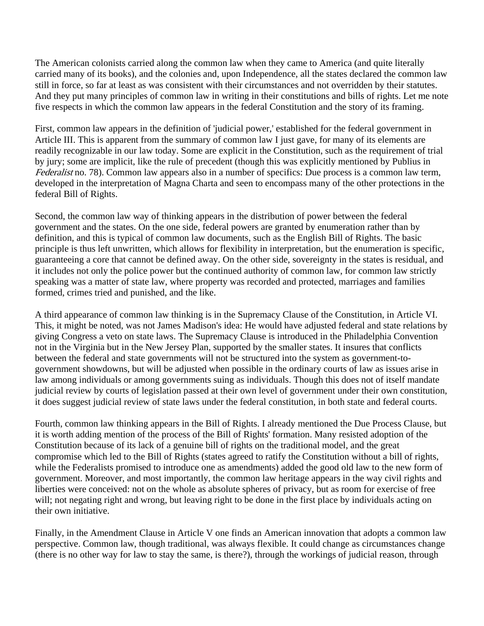The American colonists carried along the common law when they came to America (and quite literally carried many of its books), and the colonies and, upon Independence, all the states declared the common law still in force, so far at least as was consistent with their circumstances and not overridden by their statutes. And they put many principles of common law in writing in their constitutions and bills of rights. Let me note five respects in which the common law appears in the federal Constitution and the story of its framing.

First, common law appears in the definition of 'judicial power,' established for the federal government in Article III. This is apparent from the summary of common law I just gave, for many of its elements are readily recognizable in our law today. Some are explicit in the Constitution, such as the requirement of trial by jury; some are implicit, like the rule of precedent (though this was explicitly mentioned by Publius in Federalist no. 78). Common law appears also in a number of specifics: Due process is a common law term, developed in the interpretation of Magna Charta and seen to encompass many of the other protections in the federal Bill of Rights.

Second, the common law way of thinking appears in the distribution of power between the federal government and the states. On the one side, federal powers are granted by enumeration rather than by definition, and this is typical of common law documents, such as the English Bill of Rights. The basic principle is thus left unwritten, which allows for flexibility in interpretation, but the enumeration is specific, guaranteeing a core that cannot be defined away. On the other side, sovereignty in the states is residual, and it includes not only the police power but the continued authority of common law, for common law strictly speaking was a matter of state law, where property was recorded and protected, marriages and families formed, crimes tried and punished, and the like.

A third appearance of common law thinking is in the Supremacy Clause of the Constitution, in Article VI. This, it might be noted, was not James Madison's idea: He would have adjusted federal and state relations by giving Congress a veto on state laws. The Supremacy Clause is introduced in the Philadelphia Convention not in the Virginia but in the New Jersey Plan, supported by the smaller states. It insures that conflicts between the federal and state governments will not be structured into the system as government-togovernment showdowns, but will be adjusted when possible in the ordinary courts of law as issues arise in law among individuals or among governments suing as individuals. Though this does not of itself mandate judicial review by courts of legislation passed at their own level of government under their own constitution, it does suggest judicial review of state laws under the federal constitution, in both state and federal courts.

Fourth, common law thinking appears in the Bill of Rights. I already mentioned the Due Process Clause, but it is worth adding mention of the process of the Bill of Rights' formation. Many resisted adoption of the Constitution because of its lack of a genuine bill of rights on the traditional model, and the great compromise which led to the Bill of Rights (states agreed to ratify the Constitution without a bill of rights, while the Federalists promised to introduce one as amendments) added the good old law to the new form of government. Moreover, and most importantly, the common law heritage appears in the way civil rights and liberties were conceived: not on the whole as absolute spheres of privacy, but as room for exercise of free will; not negating right and wrong, but leaving right to be done in the first place by individuals acting on their own initiative.

Finally, in the Amendment Clause in Article V one finds an American innovation that adopts a common law perspective. Common law, though traditional, was always flexible. It could change as circumstances change (there is no other way for law to stay the same, is there?), through the workings of judicial reason, through